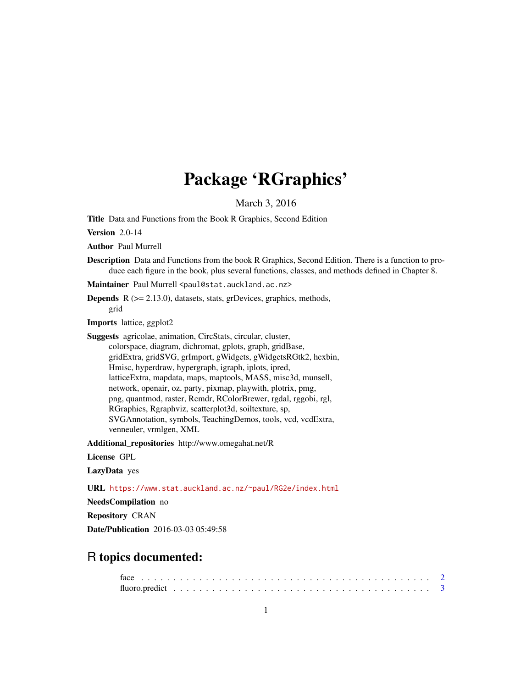# Package 'RGraphics'

March 3, 2016

Title Data and Functions from the Book R Graphics, Second Edition

Version 2.0-14

Author Paul Murrell

Description Data and Functions from the book R Graphics, Second Edition. There is a function to produce each figure in the book, plus several functions, classes, and methods defined in Chapter 8.

Maintainer Paul Murrell <paul@stat.auckland.ac.nz>

**Depends**  $R$  ( $>= 2.13.0$ ), datasets, stats, grDevices, graphics, methods, grid

Imports lattice, ggplot2

Suggests agricolae, animation, CircStats, circular, cluster, colorspace, diagram, dichromat, gplots, graph, gridBase, gridExtra, gridSVG, grImport, gWidgets, gWidgetsRGtk2, hexbin, Hmisc, hyperdraw, hypergraph, igraph, iplots, ipred, latticeExtra, mapdata, maps, maptools, MASS, misc3d, munsell, network, openair, oz, party, pixmap, playwith, plotrix, pmg, png, quantmod, raster, Rcmdr, RColorBrewer, rgdal, rggobi, rgl, RGraphics, Rgraphviz, scatterplot3d, soiltexture, sp, SVGAnnotation, symbols, TeachingDemos, tools, vcd, vcdExtra, venneuler, vrmlgen, XML

Additional\_repositories http://www.omegahat.net/R

# License GPL

LazyData yes

URL <https://www.stat.auckland.ac.nz/~paul/RG2e/index.html>

NeedsCompilation no

Repository CRAN

Date/Publication 2016-03-03 05:49:58

# R topics documented: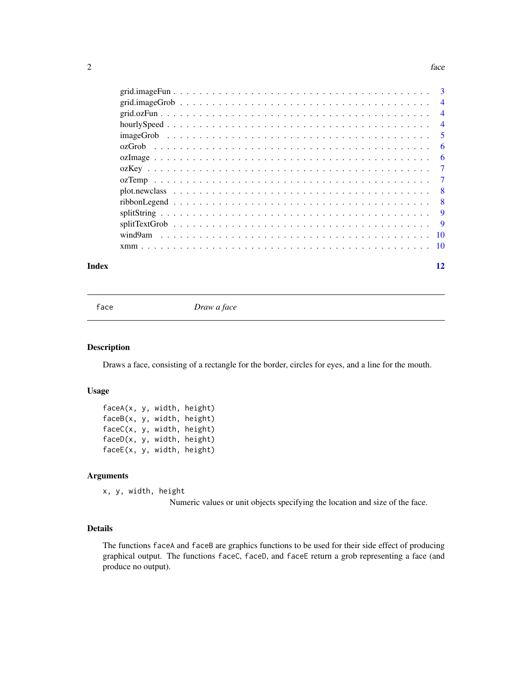#### <span id="page-1-0"></span> $2 \tfrac{1}{2}$

| Index | 12             |
|-------|----------------|
|       |                |
|       |                |
|       | -9             |
|       |                |
|       |                |
|       |                |
|       | $\overline{7}$ |
|       |                |
|       | - 6            |
|       |                |
|       | -5             |
|       |                |
|       |                |
|       |                |
|       |                |

face *Draw a face*

#### Description

Draws a face, consisting of a rectangle for the border, circles for eyes, and a line for the mouth.

# Usage

faceA(x, y, width, height) faceB(x, y, width, height) faceC(x, y, width, height) faceD(x, y, width, height) faceE(x, y, width, height)

#### Arguments

x, y, width, height

Numeric values or unit objects specifying the location and size of the face.

# Details

The functions faceA and faceB are graphics functions to be used for their side effect of producing graphical output. The functions faceC, faceD, and faceE return a grob representing a face (and produce no output).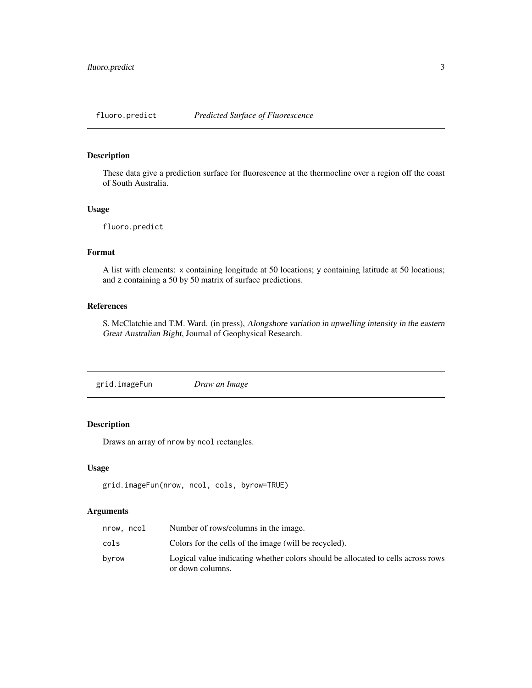<span id="page-2-0"></span>

These data give a prediction surface for fluorescence at the thermocline over a region off the coast of South Australia.

# Usage

```
fluoro.predict
```
# Format

A list with elements: x containing longitude at 50 locations; y containing latitude at 50 locations; and z containing a 50 by 50 matrix of surface predictions.

# References

S. McClatchie and T.M. Ward. (in press), Alongshore variation in upwelling intensity in the eastern Great Australian Bight, Journal of Geophysical Research.

grid.imageFun *Draw an Image*

# Description

Draws an array of nrow by ncol rectangles.

# Usage

```
grid.imageFun(nrow, ncol, cols, byrow=TRUE)
```

| nrow, ncol | Number of rows/columns in the image.                                             |
|------------|----------------------------------------------------------------------------------|
| cols       | Colors for the cells of the image (will be recycled).                            |
| byrow      | Logical value indicating whether colors should be allocated to cells across rows |
|            | or down columns.                                                                 |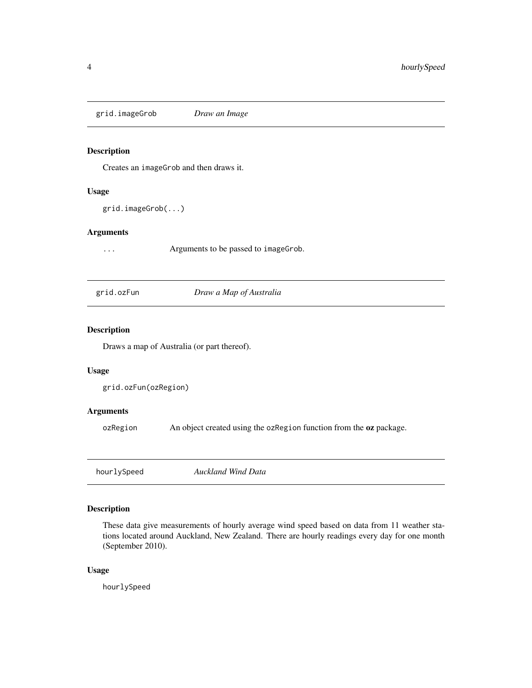<span id="page-3-0"></span>grid.imageGrob *Draw an Image*

#### Description

Creates an imageGrob and then draws it.

# Usage

grid.imageGrob(...)

#### Arguments

... Arguments to be passed to imageGrob.

grid.ozFun *Draw a Map of Australia*

# Description

Draws a map of Australia (or part thereof).

# Usage

```
grid.ozFun(ozRegion)
```
# Arguments

ozRegion An object created using the ozRegion function from the oz package.

| hourlySpeed | Auckland Wind Data |  |
|-------------|--------------------|--|
|-------------|--------------------|--|

# Description

These data give measurements of hourly average wind speed based on data from 11 weather stations located around Auckland, New Zealand. There are hourly readings every day for one month (September 2010).

# Usage

hourlySpeed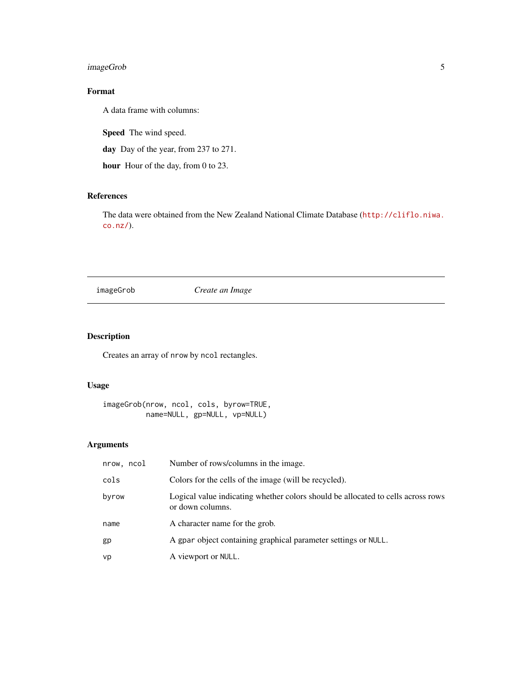# <span id="page-4-0"></span>imageGrob 5

# Format

A data frame with columns:

Speed The wind speed.

day Day of the year, from 237 to 271.

hour Hour of the day, from 0 to 23.

# References

The data were obtained from the New Zealand National Climate Database ([http://cliflo.niwa.](http://cliflo.niwa.co.nz/) [co.nz/](http://cliflo.niwa.co.nz/)).

imageGrob *Create an Image*

# Description

Creates an array of nrow by ncol rectangles.

# Usage

imageGrob(nrow, ncol, cols, byrow=TRUE, name=NULL, gp=NULL, vp=NULL)

| nrow, ncol | Number of rows/columns in the image.                                                                 |
|------------|------------------------------------------------------------------------------------------------------|
| cols       | Colors for the cells of the image (will be recycled).                                                |
| byrow      | Logical value indicating whether colors should be allocated to cells across rows<br>or down columns. |
| name       | A character name for the grob.                                                                       |
| gp         | A gpar object containing graphical parameter settings or NULL.                                       |
| vp         | A viewport or NULL.                                                                                  |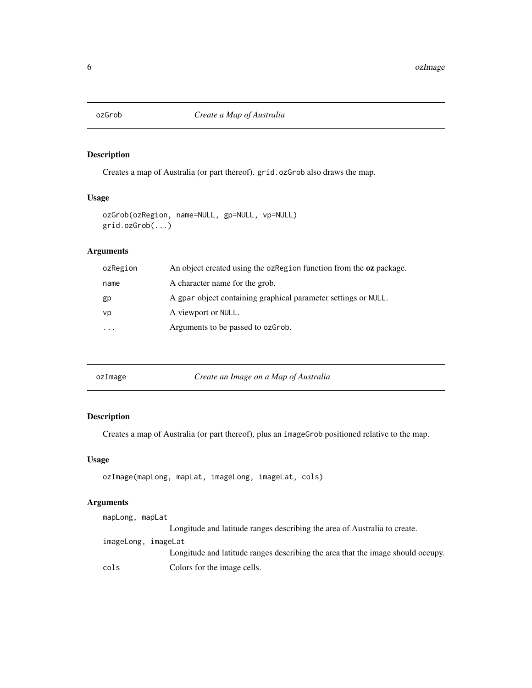<span id="page-5-0"></span>

Creates a map of Australia (or part thereof). grid.ozGrob also draws the map.

# Usage

```
ozGrob(ozRegion, name=NULL, gp=NULL, vp=NULL)
grid.ozGrob(...)
```
# Arguments

| ozRegion  | An object created using the oz Region function from the <b>oz</b> package. |
|-----------|----------------------------------------------------------------------------|
| name      | A character name for the grob.                                             |
| gp        | A gpar object containing graphical parameter settings or NULL.             |
| vp        | A viewport or NULL.                                                        |
| $\ddotsc$ | Arguments to be passed to ozgrob.                                          |
|           |                                                                            |

| Create an Image on a Map of Australia<br>ozImage |
|--------------------------------------------------|
|--------------------------------------------------|

# Description

Creates a map of Australia (or part thereof), plus an imageGrob positioned relative to the map.

# Usage

```
ozImage(mapLong, mapLat, imageLong, imageLat, cols)
```

| mapLong, mapLat     |                                                                                 |
|---------------------|---------------------------------------------------------------------------------|
|                     | Longitude and latitude ranges describing the area of Australia to create.       |
| imageLong, imageLat |                                                                                 |
|                     | Longitude and latitude ranges describing the area that the image should occupy. |
| cols                | Colors for the image cells.                                                     |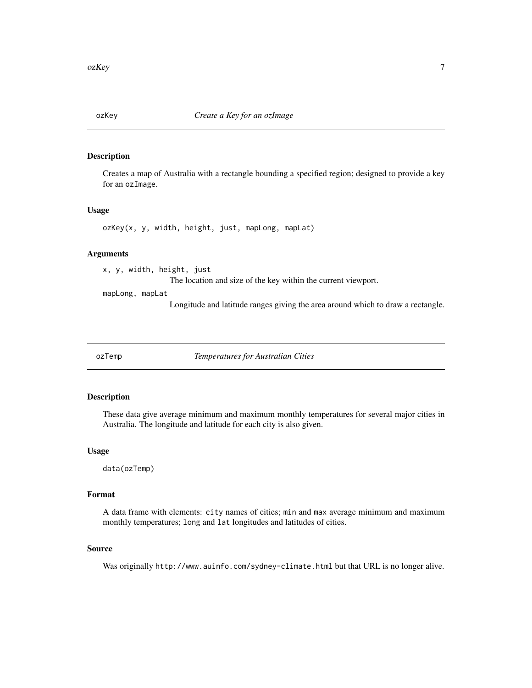<span id="page-6-0"></span>

Creates a map of Australia with a rectangle bounding a specified region; designed to provide a key for an ozImage.

# Usage

ozKey(x, y, width, height, just, mapLong, mapLat)

#### Arguments

x, y, width, height, just The location and size of the key within the current viewport.

mapLong, mapLat

Longitude and latitude ranges giving the area around which to draw a rectangle.

ozTemp *Temperatures for Australian Cities*

# Description

These data give average minimum and maximum monthly temperatures for several major cities in Australia. The longitude and latitude for each city is also given.

#### Usage

data(ozTemp)

## Format

A data frame with elements: city names of cities; min and max average minimum and maximum monthly temperatures; long and lat longitudes and latitudes of cities.

#### Source

Was originally http://www.auinfo.com/sydney-climate.html but that URL is no longer alive.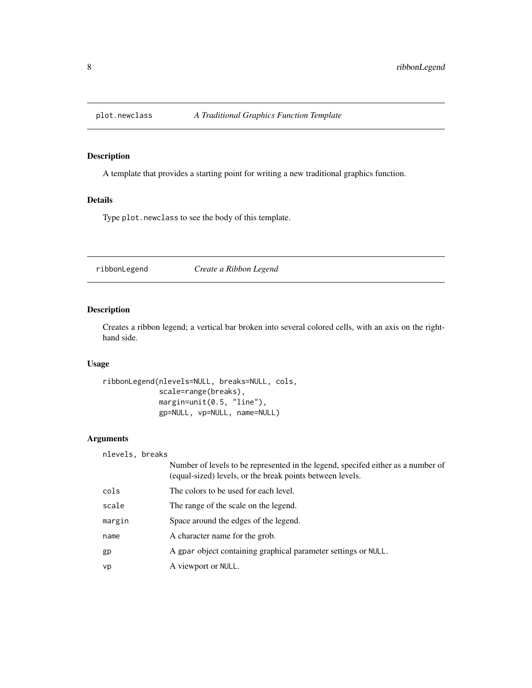<span id="page-7-0"></span>

A template that provides a starting point for writing a new traditional graphics function.

# Details

Type plot.newclass to see the body of this template.

ribbonLegend *Create a Ribbon Legend*

# Description

Creates a ribbon legend; a vertical bar broken into several colored cells, with an axis on the righthand side.

# Usage

```
ribbonLegend(nlevels=NULL, breaks=NULL, cols,
             scale=range(breaks),
            margin=unit(0.5, "line"),
             gp=NULL, vp=NULL, name=NULL)
```

| nlevels, breaks |                                                                                                                                               |
|-----------------|-----------------------------------------------------------------------------------------------------------------------------------------------|
|                 | Number of levels to be represented in the legend, specifed either as a number of<br>(equal-sized) levels, or the break points between levels. |
| cols            | The colors to be used for each level.                                                                                                         |
| scale           | The range of the scale on the legend.                                                                                                         |
| margin          | Space around the edges of the legend.                                                                                                         |
| name            | A character name for the grob.                                                                                                                |
| gp              | A gpar object containing graphical parameter settings or NULL.                                                                                |
| vp              | A viewport or NULL.                                                                                                                           |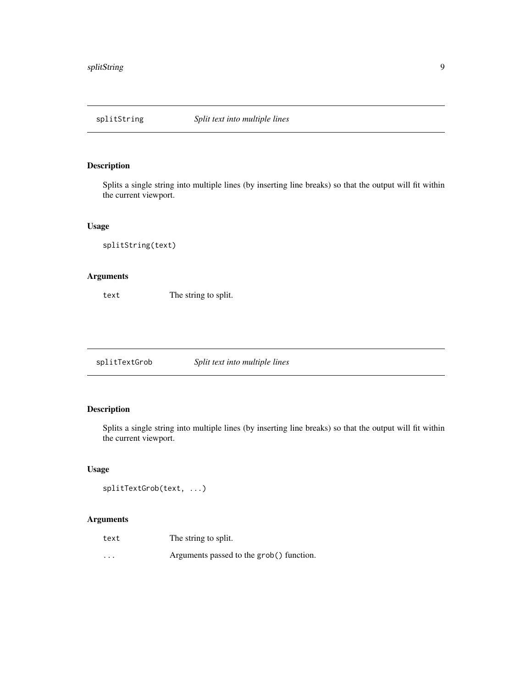<span id="page-8-0"></span>

Splits a single string into multiple lines (by inserting line breaks) so that the output will fit within the current viewport.

## Usage

```
splitString(text)
```
# Arguments

text The string to split.

splitTextGrob *Split text into multiple lines*

# Description

Splits a single string into multiple lines (by inserting line breaks) so that the output will fit within the current viewport.

# Usage

```
splitTextGrob(text, ...)
```

| text     | The string to split.                     |
|----------|------------------------------------------|
| $\cdots$ | Arguments passed to the grob() function. |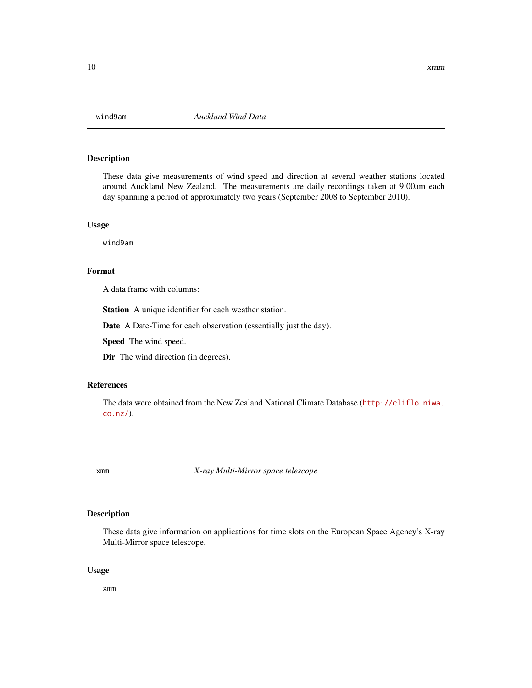<span id="page-9-0"></span>

These data give measurements of wind speed and direction at several weather stations located around Auckland New Zealand. The measurements are daily recordings taken at 9:00am each day spanning a period of approximately two years (September 2008 to September 2010).

# Usage

wind9am

# Format

A data frame with columns:

Station A unique identifier for each weather station.

Date A Date-Time for each observation (essentially just the day).

Speed The wind speed.

Dir The wind direction (in degrees).

#### References

The data were obtained from the New Zealand National Climate Database ([http://cliflo.niwa.](http://cliflo.niwa.co.nz/) [co.nz/](http://cliflo.niwa.co.nz/)).

xmm *X-ray Multi-Mirror space telescope*

#### Description

These data give information on applications for time slots on the European Space Agency's X-ray Multi-Mirror space telescope.

#### Usage

xmm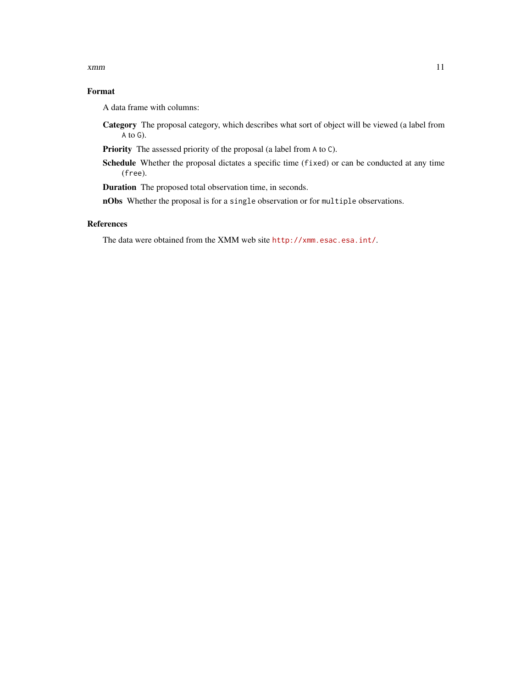#### xmm and the state of the state of the state of the state of the state of the state of the state of the state of the state of the state of the state of the state of the state of the state of the state of the state of the st

# Format

A data frame with columns:

Category The proposal category, which describes what sort of object will be viewed (a label from A to G).

Priority The assessed priority of the proposal (a label from A to C).

Schedule Whether the proposal dictates a specific time (fixed) or can be conducted at any time (free).

Duration The proposed total observation time, in seconds.

nObs Whether the proposal is for a single observation or for multiple observations.

# References

The data were obtained from the XMM web site <http://xmm.esac.esa.int/>.